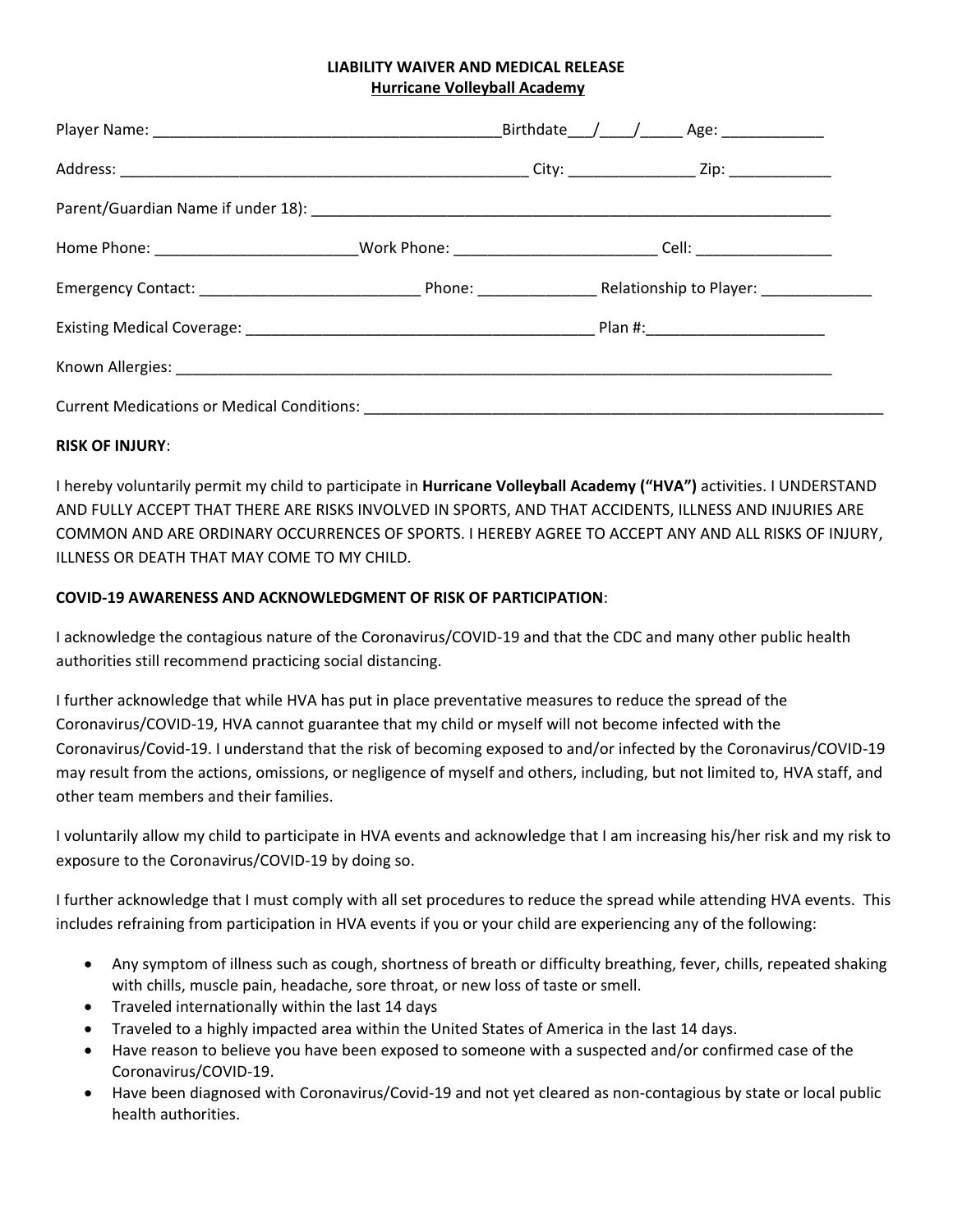## **LIABILITY WAIVER AND MEDICAL RELEASE Hurricane Volleyball Academy**

|  |  |                                                                                                                |  | Birthdate /__/___/_______ Age: ______________ |  |
|--|--|----------------------------------------------------------------------------------------------------------------|--|-----------------------------------------------|--|
|  |  |                                                                                                                |  |                                               |  |
|  |  |                                                                                                                |  |                                               |  |
|  |  | Home Phone: ________________________________Work Phone: ________________________________Cell: ________________ |  |                                               |  |
|  |  |                                                                                                                |  |                                               |  |
|  |  |                                                                                                                |  |                                               |  |
|  |  |                                                                                                                |  |                                               |  |
|  |  |                                                                                                                |  |                                               |  |

## **RISK OF INJURY**:

I hereby voluntarily permit my child to participate in **Hurricane Volleyball Academy ("HVA")** activities. I UNDERSTAND AND FULLY ACCEPT THAT THERE ARE RISKS INVOLVED IN SPORTS, AND THAT ACCIDENTS, ILLNESS AND INJURIES ARE COMMON AND ARE ORDINARY OCCURRENCES OF SPORTS. I HEREBY AGREE TO ACCEPT ANY AND ALL RISKS OF INJURY, ILLNESS OR DEATH THAT MAY COME TO MY CHILD.

## **COVID-19 AWARENESS AND ACKNOWLEDGMENT OF RISK OF PARTICIPATION**:

I acknowledge the contagious nature of the Coronavirus/COVID-19 and that the CDC and many other public health authorities still recommend practicing social distancing.

I further acknowledge that while HVA has put in place preventative measures to reduce the spread of the Coronavirus/COVID-19, HVA cannot guarantee that my child or myself will not become infected with the Coronavirus/Covid-19. I understand that the risk of becoming exposed to and/or infected by the Coronavirus/COVID-19 may result from the actions, omissions, or negligence of myself and others, including, but not limited to, HVA staff, and other team members and their families.

I voluntarily allow my child to participate in HVA events and acknowledge that I am increasing his/her risk and my risk to exposure to the Coronavirus/COVID-19 by doing so.

I further acknowledge that I must comply with all set procedures to reduce the spread while attending HVA events. This includes refraining from participation in HVA events if you or your child are experiencing any of the following:

- Any symptom of illness such as cough, shortness of breath or difficulty breathing, fever, chills, repeated shaking with chills, muscle pain, headache, sore throat, or new loss of taste or smell.
- Traveled internationally within the last 14 days
- Traveled to a highly impacted area within the United States of America in the last 14 days.
- Have reason to believe you have been exposed to someone with a suspected and/or confirmed case of the Coronavirus/COVID-19.
- Have been diagnosed with Coronavirus/Covid-19 and not yet cleared as non-contagious by state or local public health authorities.